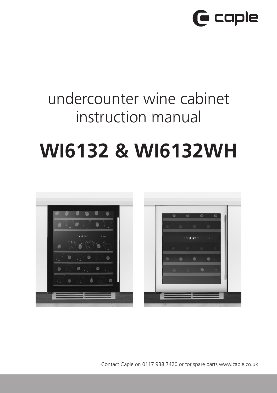

# undercounter wine cabinet instruction manual

# **WI6132 & WI6132WH**



Contact Caple on 0117 938 7420 or for spare parts www.caple.co.uk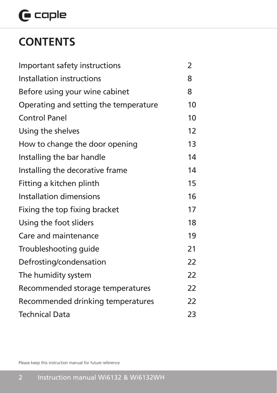# $\mathbf \Theta$  caple

# **CONTENTS**

| Important safety instructions         | $\overline{2}$ |
|---------------------------------------|----------------|
| Installation instructions             | 8              |
| Before using your wine cabinet        | 8              |
| Operating and setting the temperature | 10             |
| <b>Control Panel</b>                  | 10             |
| Using the shelves                     | 12             |
| How to change the door opening        | 13             |
| Installing the bar handle             | 14             |
| Installing the decorative frame       | 14             |
| Fitting a kitchen plinth              | 15             |
| <b>Installation dimensions</b>        | 16             |
| Fixing the top fixing bracket         | 17             |
| Using the foot sliders                | 18             |
| Care and maintenance                  | 19             |
| Troubleshooting guide                 | 21             |
| Defrosting/condensation               | 22             |
| The humidity system                   | 22             |
| Recommended storage temperatures      | 22             |
| Recommended drinking temperatures     | 22             |
| <b>Technical Data</b>                 | 23             |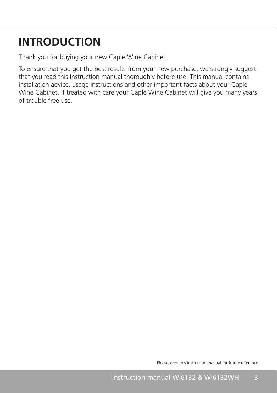# **INTRODUCTION**

Thank you for buying your new Caple Wine Cabinet.

To ensure that you get the best results from your new purchase, we strongly suggest that you read this instruction manual thoroughly before use. This manual contains installation advice, usage instructions and other important facts about your Caple Wine Cabinet. If treated with care your Caple Wine Cabinet will give you many years of trouble free use.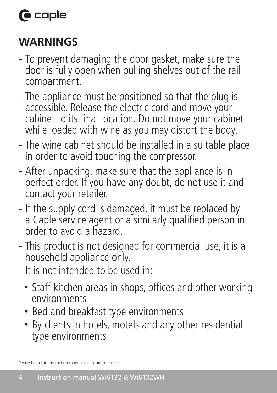# **G** caple

# **WARNINGS**

- To prevent damaging the door gasket, make sure the door is fully open when pulling shelves out of the rail compartment.
- The appliance must be positioned so that the plug is accessible. Release the electric cord and move your cabinet to its final location. Do not move your cabinet while loaded with wine as you may distort the body.
- The wine cabinet should be installed in a suitable place in order to avoid touching the compressor.
- After unpacking, make sure that the appliance is in perfect order. If you have any doubt, do not use it and contact your retailer.
- If the supply cord is damaged, it must be replaced by a Caple service agent or a similarly qualified person in order to avoid a hazard.
- This product is not designed for commercial use, it is a household appliance only.

It is not intended to be used in:

- Staff kitchen areas in shops, offices and other working environments
- Bed and breakfast type environments
- By clients in hotels, motels and any other residential type environments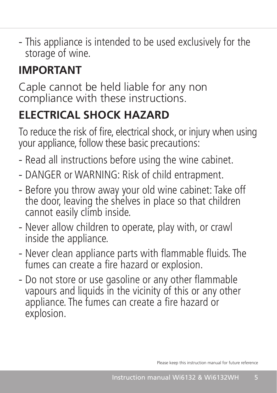- This appliance is intended to be used exclusively for the storage of wine.

# **IMPORTANT**

Caple cannot be held liable for any non compliance with these instructions.

# **ELECTRICAL SHOCK HAZARD**

To reduce the risk of fire, electrical shock, or injury when using your appliance, follow these basic precautions:

- Read all instructions before using the wine cabinet.
- DANGER or WARNING: Risk of child entrapment.
- Before you throw away your old wine cabinet: Take off the door, leaving the shelves in place so that children cannot easily climb inside.
- Never allow children to operate, play with, or crawl inside the appliance.
- Never clean appliance parts with flammable fluids. The fumes can create a fire hazard or explosion.
- Do not store or use gasoline or any other flammable vapours and liquids in the vicinity of this or any other appliance. The fumes can create a fire hazard or explosion.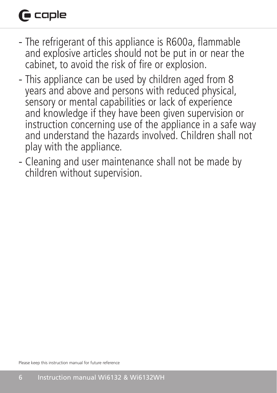# **G** caple

- The refrigerant of this appliance is R600a, flammable and explosive articles should not be put in or near the cabinet, to avoid the risk of fire or explosion.
- This appliance can be used by children aged from 8 years and above and persons with reduced physical, sensory or mental capabilities or lack of experience and knowledge if they have been given supervision or instruction concerning use of the appliance in a safe way and understand the hazards involved. Children shall not play with the appliance.
- Cleaning and user maintenance shall not be made by children without supervision.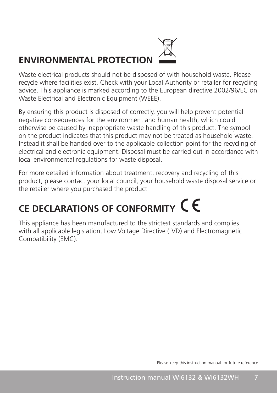# **ENVIRONMENTAL PROTECTION**



Waste electrical products should not be disposed of with household waste. Please recycle where facilities exist. Check with your Local Authority or retailer for recycling advice. This appliance is marked according to the European directive 2002/96/EC on Waste Electrical and Electronic Equipment (WEEE).

By ensuring this product is disposed of correctly, you will help prevent potential negative consequences for the environment and human health, which could otherwise be caused by inappropriate waste handling of this product. The symbol on the product indicates that this product may not be treated as household waste. Instead it shall be handed over to the applicable collection point for the recycling of electrical and electronic equipment. Disposal must be carried out in accordance with local environmental regulations for waste disposal.

For more detailed information about treatment, recovery and recycling of this product, please contact your local council, your household waste disposal service or the retailer where you purchased the product

# **CE DECLARATIONS OF CONFORMITY**

This appliance has been manufactured to the strictest standards and complies with all applicable legislation, Low Voltage Directive (LVD) and Electromagnetic Compatibility (EMC).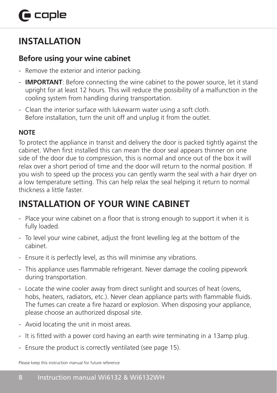## **INSTALLATION**

### **Before using your wine cabinet**

- Remove the exterior and interior packing.
- **IMPORTANT**: Before connecting the wine cabinet to the power source, let it stand upright for at least 12 hours. This will reduce the possibility of a malfunction in the cooling system from handling during transportation.
- Clean the interior surface with lukewarm water using a soft cloth. Before installation, turn the unit off and unplug it from the outlet.

### **NOTE**

To protect the appliance in transit and delivery the door is packed tightly against the cabinet. When first installed this can mean the door seal appears thinner on one side of the door due to compression, this is normal and once out of the box it will relax over a short period of time and the door will return to the normal position. If you wish to speed up the process you can gently warm the seal with a hair dryer on a low temperature setting. This can help relax the seal helping it return to normal thickness a little faster.

## **INSTALLATION OF YOUR WINE CABINET**

- Place your wine cabinet on a floor that is strong enough to support it when it is fully loaded.
- To level your wine cabinet, adjust the front levelling leg at the bottom of the cabinet.
- Ensure it is perfectly level, as this will minimise any vibrations.
- This appliance uses flammable refrigerant. Never damage the cooling pipework during transportation.
- Locate the wine cooler away from direct sunlight and sources of heat (ovens, hobs, heaters, radiators, etc.). Never clean appliance parts with flammable fluids. The fumes can create a fire hazard or explosion. When disposing your appliance, please choose an authorized disposal site.
- Avoid locating the unit in moist areas.
- It is fitted with a power cord having an earth wire terminating in a 13amp plug.
- Ensure the product is correctly ventilated (see page 15).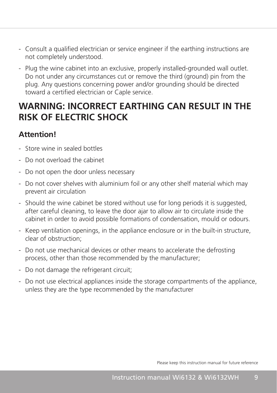- Consult a qualified electrician or service engineer if the earthing instructions are not completely understood.
- Plug the wine cabinet into an exclusive, properly installed-grounded wall outlet. Do not under any circumstances cut or remove the third (ground) pin from the plug. Any questions concerning power and/or grounding should be directed toward a certified electrician or Caple service.

### **WARNING: INCORRECT EARTHING CAN RESULT IN THE RISK OF ELECTRIC SHOCK**

### **Attention!**

- Store wine in sealed bottles
- Do not overload the cabinet
- Do not open the door unless necessary
- Do not cover shelves with aluminium foil or any other shelf material which may prevent air circulation
- Should the wine cabinet be stored without use for long periods it is suggested, after careful cleaning, to leave the door ajar to allow air to circulate inside the cabinet in order to avoid possible formations of condensation, mould or odours.
- Keep ventilation openings, in the appliance enclosure or in the built-in structure, clear of obstruction;
- Do not use mechanical devices or other means to accelerate the defrosting process, other than those recommended by the manufacturer;
- Do not damage the refrigerant circuit;
- Do not use electrical appliances inside the storage compartments of the appliance, unless they are the type recommended by the manufacturer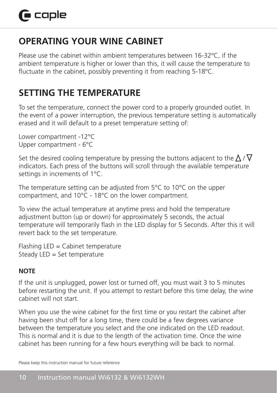## **OPERATING YOUR WINE CABINET**

Please use the cabinet within ambient temperatures between 16-32ºC, if the ambient temperature is higher or lower than this, it will cause the temperature to fluctuate in the cabinet, possibly preventing it from reaching 5-18ºC.

## **SETTING THE TEMPERATURE**

To set the temperature, connect the power cord to a properly grounded outlet. In the event of a power interruption, the previous temperature setting is automatically erased and it will default to a preset temperature setting of:

Lower compartment -12°C Upper compartment - 6°C

Set the desired cooling temperature by pressing the buttons adjacent to the  $\Delta$  /  $\nabla$ indicators. Each press of the buttons will scroll through the available temperature settings in increments of 1°C.

The temperature setting can be adjusted from 5°C to 10°C on the upper compartment, and 10°C - 18°C on the lower compartment.

To view the actual temperature at anytime press and hold the temperature adjustment button (up or down) for approximately 5 seconds, the actual temperature will temporarily flash in the LED display for 5 Seconds. After this it will revert back to the set temperature.

 $F$ lashing LED = Cabinet temperature Steady LED = Set temperature

### **NOTE**

If the unit is unplugged, power lost or turned off, you must wait 3 to 5 minutes before restarting the unit. If you attempt to restart before this time delay, the wine cabinet will not start.

When you use the wine cabinet for the first time or you restart the cabinet after having been shut off for a long time, there could be a few degrees variance between the temperature you select and the one indicated on the LED readout. This is normal and it is due to the length of the activation time. Once the wine cabinet has been running for a few hours everything will be back to normal.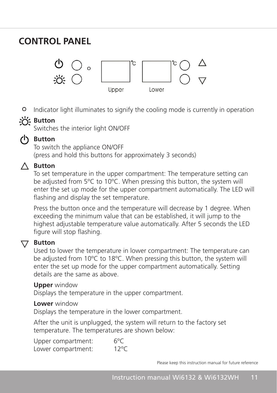### **CONTROL PANEL**



Indicator light illuminates to signify the cooling mode is currently in operation • **" "**

### **Button** light indicator light in operation in our cooling mode is continued in operation.

**CONTROL PANEL Control panel** 

Used to raise the temperature in 1ºC increments.

Switches the interior light ON/OFF SWITCHES THE

### **Button** • **" "Button**

To switch the appliance ON/OFF **Indicator is currently in operation**. (press and hold this buttons for approximately 3 seconds)

#### **A** Button  $\bigtriangleup$  -Button indicator light indicator  $\bigtriangleup$  $\Lambda$  Dutton

 $\overline{\Delta}$  batton  $\overline{\Delta}$  betometature in the upper compartment: The temperature setting can be adjusted from 5ºC to 10ºC. When pressing this button, the system will be adjusted from 5 C to To C. When pressing this button, the system will<br>enter the set up mode for the upper compartment automatically. The LED will enter the set up mode for the upper compartment<br>flashing and display the set temperature. flashing and display the set temperature.

nashing and display the set temperature.<br>Press the button once and the temperature will decrease by 1 degree. When riess are saffer once and the temperature will decrease by a degree. Where the approximate on approximate that can be established, it will jump to the highest adjustable temperature value automatically. After 5 seconds the LED<br>figure will stop flashing figure will stop flashing.  $T_{\text{S}}$   $\text{P}_{\text{c}}$  the setting comparison from  $\text{S}$  can be adjusted from  $\text{S}$ 

to a preset temperature setting of 12°C

### **Setting the temperature in 1**

 $\nabla$  **Button**<br>Used to lower the temperature in lower compartment: The temperature can be adjusted from 10°C to 18°C. When pressing this button, the system will enter the set up mode for the upper compartment automatically. Setting details are the same as above. details are the same as above. be adjusted from TO C to TO C. When pressing this button, the system will<br>enter the set up mode for the upper compartment automatically. Setting

#### **Upper** window **Upper** window **Upper** window

Displays the temperature in the upper compartment.

#### Lower window **Lower** window

**Lower** window<br>Displays the temperature in the lower compartment. Di used to raise the temperature in the temperature in 1ºC increments. In 1ºC increments. In 1ºC increments. In<br>1ºC increments. In 1ºC increments. In 1ºC increments. In 1ºC increments. In 1ºC increments. In 1ºC increments. **Setting** 

After the unit is unplugged, the system will return to the factory set Friter the time is displayed, the system will be an it is an adjusted from 5°C to 18°C. To switch the appliance on/off (press and hold this buttons for approximately 3 seconds).  $\Lambda$  ftor the set  $\epsilon$  temperature comperature use the buttons additional temperature the  $\epsilon$  /  $\epsilon$  /  $\epsilon$  /  $\epsilon$  /  $\epsilon$  /  $\epsilon$  /  $\epsilon$  /  $\epsilon$  /  $\epsilon$  /  $\epsilon$  /  $\epsilon$  /  $\epsilon$  /  $\epsilon$  /  $\epsilon$  /  $\epsilon$  /  $\epsilon$  /  $\epsilon$  /  $\epsilon$  /  $\epsilon$  /  $\epsilon$  /  $\epsilon$  /  $\$  $\mathbf{r}$  the temperature, connect the power cord to a properly grounded outlet. In the event of  $\mathbf{r}$ Tomperature. The temperatures

Upper compartment: 6ºC Lower compartment: 12°C Lower con Upper compartment: G<sup>o</sup>C Lower compartment: the previous temperature setting is also setting in the previous erased and it will define a Upper compartment:  $6^{\circ}C$ <br>The temperature set the temperature set of the temperature set of the temperature set of the adjustment from the temperature from the temperature from the temperature from the temperature from  $\text{Upper conjariant}$  through the button settings in the available temperature settings in the available temperature settings in the available temperature settings in the available temperature settings in the available temperature se  $\alpha$  power comparature setting is a previous temperature setting is also and it will define an and it will default and it will define an and it will define an and it will define an and it will define an and it will define to *a* preset temperature setting the 12°C  $\text{optc}$  comparature at any  $\text{optc}$  or  $\text{optc}$  and  $\text{optc}$  temperature and  $\text{optc}$  $\frac{1}{\sqrt{2}}$  seconds, the approximately  $\frac{1}{\sqrt{2}}$  seconds, the actual temporarily flash in the actual temporarily flash in the actual temporarily flash in the actual temporarily flash in the actual temporarily flash in

Please keep this instruction manual for future reference Please keep this instruction manual for future reference 10C to 18C When pressing this button, the system will enter the set up mode for the upper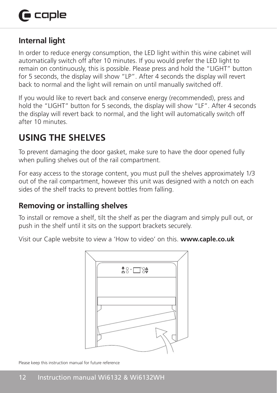### **Internal light**

In order to reduce energy consumption, the LED light within this wine cabinet will automatically switch off after 10 minutes. If you would prefer the LED light to remain on continuously, this is possible. Please press and hold the "LIGHT" button for 5 seconds, the display will show "LP". After 4 seconds the display will revert back to normal and the light will remain on until manually switched off.

If you would like to revert back and conserve energy (recommended), press and hold the "LIGHT" button for 5 seconds, the display will show "LF". After 4 seconds the display will revert back to normal, and the light will automatically switch off after 10 minutes. positive. Please press and hold the seconds, the display will show "LP". After 4 second

#### **USING THE SHELVES** will show the display will show the display will show the display will revert back to display will revert back to display will revert back to display will revert back to display will revert back to disp normal, and the light will automatically switch off after 10 minutes.

To prevent damaging the door gasket, make sure to have the door opened fully when pulling shelves out of the rail compartment. **Using the shelves** 

For easy access to the storage content, you must pull the shelves approximately 1/3 out of the rail compartment, however this unit was designed with a notch on each For extraction the semperature, noticely and can the storaging a matter and content, you cannot compartment than the prevent bottles from railing.

### **Removing or installing shelves Removing or installing shelves**

To install or remove a shelf, tilt the shelf as per the diagram and simply pull out, or push in the shelf until it sits on the support brackets securely. the shelf until it sits on the support brackets securely. It sits on the support brackets securely. It sits on

Visit our Caple website to view a 'How to video' on this. **www.caple.co.uk** • Visit our Caple website to view a 'How to video' on this. www.caple.co.uk

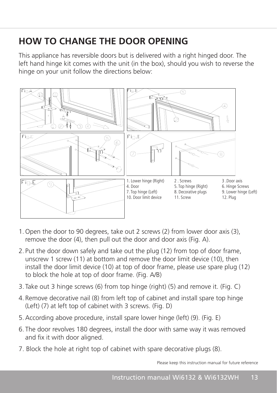# **HOW TO CHANGE THE DOOR OPENING**

This appliance has reversible doors but is delivered with a right hinged door. The left hand hinge kit comes with the unit (in the box), should you wish to reverse the hinge on your unit follow the directions below: 10. Door limit device 11. Screw 12. Plug 12. Plug 12. Plug 12. Plug 12. Plug 12. Plug 12. Plug 12. Plug 12. Plug

hinge kit comes with the unit (in the box), should you wish to reverse the hinge on your unit



- 1. Open the door to 90 degrees, take out 2 screws (2) from lower door  $\sim$  (3), remove the door (3), remove the door (4), remove the door (4), remove the door (4), remove the door (4), remove the door (4), remove the door 1. Open the door to 90 degrees, take out 2 screws (2) from lower door axis (3), remove the door (4), then pull out the door and door axis (Fig. A).
- 2. Put the door down safely and take out the plug (12) from top of door frame, unscrew 1 screw (11) at bottom and remove the door limit device (10), then install the door limit device (10) at top of door frame, please use spare plug (12)  $\frac{1}{2}$  scale and  $\frac{1}{2}$  screws. ( $\frac{1}{2}$ to block the hole at top of door frame. (Fig. A/B)
- $\overline{6}$ . The out 2 bings crows (6) from top bings (right) (5) and remove it (Fig. G) 3. Take out 3 hinge screws (6) from top hinge (right) (5) and remove it. (Fig. C)
- 4. Remove decorative nail (8) from left top of cabinet and install spare top hinge (Left) (7) at left top of cabinet with 3 screws. (Fig. D)
	- 5.According above procedure, install spare lower hinge (left) (9). (Fig. E)
	- 6. The door revolves 180 degrees, install the door with same way it was removed and fix it with door aligned.
	- 7. Block the hole at right top of cabinet with spare decorative plugs (8).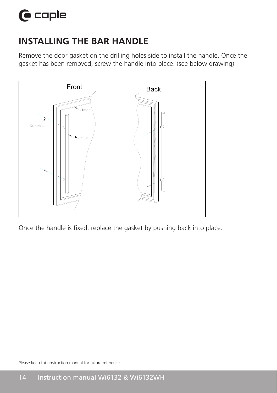## **INSTALLING THE BAR HANDLE**

Remove the door gasket on the drilling holes side to install the handle. Once the gasket has been removed, screw the handle into place. (see below drawing).



Once the handle is fixed, replace the gasket by pushing back into place. Once the handle is fixed, replace the gasket by pushing back into place.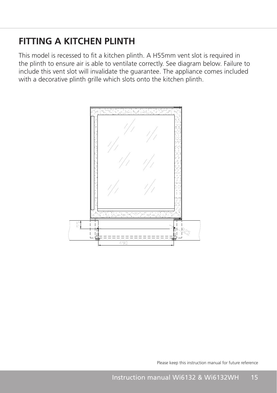### **FITTING A KITCHEN PLINTH**

This model is recessed to fit a kitchen plinth. A H55mm vent slot is required in the plinth to ensure air is able to ventilate correctly. See diagram below. Failure to include this vent slot will invalidate the guarantee. The appliance comes included with a decorative plinth grille which slots onto the kitchen plinth.

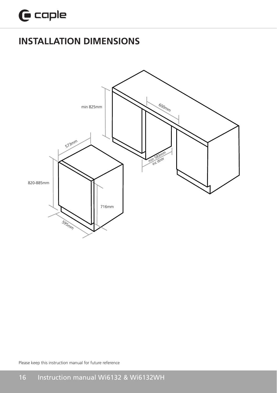## **INSTALLATION DIMENSIONS INSTALLATION DIMENSIONS**



Please keep this instruction manual for future reference

open the door, adjust the fixing bracket (a)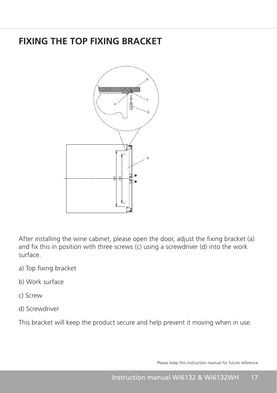### **FIXING THE TOP FIXING BRACKET**



After installing the wine cabinet, please open the door, adjust the fixing bracket (a) and fix this in position with three screws (c) using a screwdriver (d) into the work surface.

- a) Top fixing bracket a hesself is required in the plinth to ensure in the plinth to ensure the plinth to ensure the plinth to ensure the plinth to ensure the plinth to ensure the plinth to ensure the plinth to ensure the air is primar below. See diagram below. Failure to include the include this vent slot will invalid the third in
- $\frac{1}{2}$  applicantee. The application comes included with a decorative plint grid with slots on the kitchen slots on the kitchen slots on the kitchen slots on the kitchen slots on the kitchen slots on the kitchen slots o b) Work surface
	- c) Screw
	- d) Screwdriver

This bracket will keep the product secure and help prevent it moving when in use.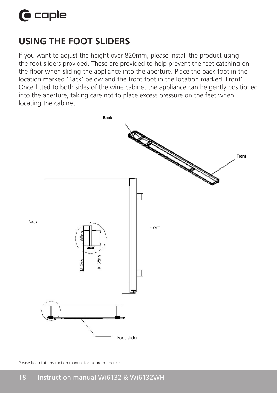#### **USING THE FOOT SLIDERS Using the foot sliders**  USING THE FOOT SLIDERS **820MM**

If you want to adjust the height over 820mm, please install the product using the foot sliders provided. These are provided to help prevent the feet catching on the floor shaces promated. These are promated to help prevent the rect carently on the floor when sliding the appliance into the aperture. Place the back foot in the Ince hoor when shang the apphance into the aperture. There the back foot in the location marked 'Front'. Once fitted to both sides of the wine cabinet the appliance can be gently positioned into the aperture, taking care not to place excess pressure on the feet when locating the cabinet.  $w$  and the front foot in the location marked "Front".  $\hspace{0.1mm}$ positioned into the aperture, taking care not to place excess pressure on the feet when locating the cabinet.

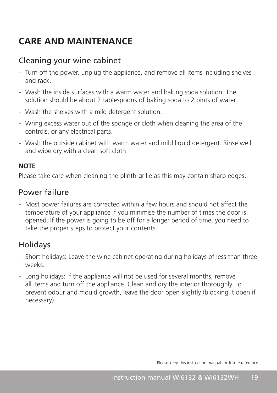## **CARE AND MAINTENANCE**

### Cleaning your wine cabinet

- Turn off the power, unplug the appliance, and remove all items including shelves and rack.
- Wash the inside surfaces with a warm water and baking soda solution. The solution should be about 2 tablespoons of baking soda to 2 pints of water.
- Wash the shelves with a mild detergent solution.
- Wring excess water out of the sponge or cloth when cleaning the area of the controls, or any electrical parts.
- Wash the outside cabinet with warm water and mild liquid detergent. Rinse well and wipe dry with a clean soft cloth.

### **NOTE**

Please take care when cleaning the plinth grille as this may contain sharp edges.

### Power failure

- Most power failures are corrected within a few hours and should not affect the temperature of your appliance if you minimise the number of times the door is opened. If the power is going to be off for a longer period of time, you need to take the proper steps to protect your contents.

### Holidays

- Short holidays: Leave the wine cabinet operating during holidays of less than three weeks.
- Long holidays: If the appliance will not be used for several months, remove all items and turn off the appliance. Clean and dry the interior thoroughly. To prevent odour and mould growth, leave the door open slightly (blocking it open if necessary).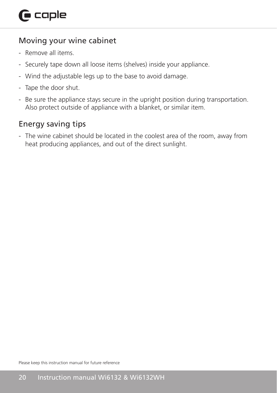### Moving your wine cabinet

- Remove all items
- Securely tape down all loose items (shelves) inside your appliance.
- Wind the adjustable legs up to the base to avoid damage.
- Tape the door shut.
- Be sure the appliance stays secure in the upright position during transportation. Also protect outside of appliance with a blanket, or similar item.

### Energy saving tips

- The wine cabinet should be located in the coolest area of the room, away from heat producing appliances, and out of the direct sunlight.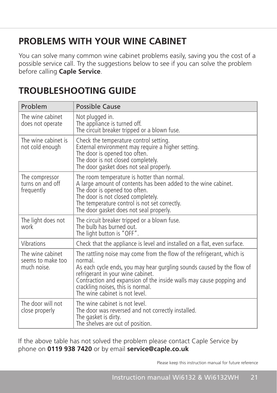## **PROBLEMS WITH YOUR WINE CABINET**

You can solve many common wine cabinet problems easily, saving you the cost of a possible service call. Try the suggestions below to see if you can solve the problem before calling **Caple Service**.

| Problem                                              | Possible Cause                                                                                                                                                                                                                                                                                                                                 |
|------------------------------------------------------|------------------------------------------------------------------------------------------------------------------------------------------------------------------------------------------------------------------------------------------------------------------------------------------------------------------------------------------------|
| The wine cabinet<br>does not operate                 | Not plugged in.<br>The appliance is turned off.<br>The circuit breaker tripped or a blown fuse.                                                                                                                                                                                                                                                |
| The wine cabinet is<br>not cold enough               | Check the temperature control setting.<br>External environment may require a higher setting.<br>The door is opened too often.<br>The door is not closed completely.<br>The door gasket does not seal properly.                                                                                                                                 |
| The compressor<br>turns on and off<br>frequently     | The room temperature is hotter than normal.<br>A large amount of contents has been added to the wine cabinet.<br>The door is opened too often.<br>The door is not closed completely.<br>The temperature control is not set correctly.<br>The door gasket does not seal properly.                                                               |
| The light does not<br>work                           | The circuit breaker tripped or a blown fuse.<br>The bulb has burned out.<br>The light button is "OFF".                                                                                                                                                                                                                                         |
| Vibrations                                           | Check that the appliance is level and installed on a flat, even surface.                                                                                                                                                                                                                                                                       |
| The wine cabinet<br>seems to make too<br>much noise. | The rattling noise may come from the flow of the refrigerant, which is<br>normal.<br>As each cycle ends, you may hear gurgling sounds caused by the flow of<br>refrigerant in your wine cabinet.<br>Contraction and expansion of the inside walls may cause popping and<br>crackling noises, this is normal.<br>The wine cabinet is not level. |
| The door will not<br>close properly                  | The wine cabinet is not level.<br>The door was reversed and not correctly installed.<br>The gasket is dirty.<br>The shelves are out of position.                                                                                                                                                                                               |

## **TROUBLESHOOTING GUIDE**

If the above table has not solved the problem please contact Caple Service by phone on **0119 938 7420** or by email **service@caple.co.uk**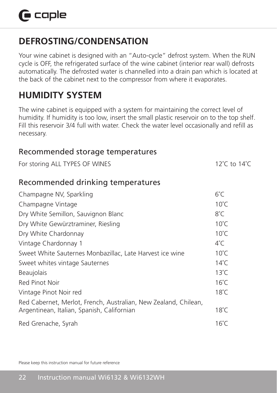### **DEFROSTING/CONDENSATION**

Your wine cabinet is designed with an "Auto-cycle" defrost system. When the RUN cycle is OFF, the refrigerated surface of the wine cabinet (interior rear wall) defrosts automatically. The defrosted water is channelled into a drain pan which is located at the back of the cabinet next to the compressor from where it evaporates.

## **HUMIDITY SYSTEM**

The wine cabinet is equipped with a system for maintaining the correct level of humidity. If humidity is too low, insert the small plastic reservoir on to the top shelf. Fill this reservoir 3/4 full with water. Check the water level occasionally and refill as necessary.

| Recommended storage temperatures                                                                              |                |
|---------------------------------------------------------------------------------------------------------------|----------------|
| For storing ALL TYPES OF WINES                                                                                | 12°C to 14°C   |
| Recommended drinking temperatures                                                                             |                |
| Champagne NV, Sparkling                                                                                       | 6°C            |
| Champagne Vintage                                                                                             | $10^{\circ}$ C |
| Dry White Semillon, Sauvignon Blanc                                                                           | $8^{\circ}$ C  |
| Dry White Gewürztraminer, Riesling                                                                            | $10^{\circ}$ C |
| Dry White Chardonnay                                                                                          | $10^{\circ}$ C |
| Vintage Chardonnay 1                                                                                          | $4^{\circ}$ C  |
| Sweet White Sauternes Monbazillac, Late Harvest ice wine                                                      | $10^{\circ}$ C |
| Sweet whites vintage Sauternes                                                                                | $14^{\circ}$ C |
| <b>Beaujolais</b>                                                                                             | $13^{\circ}$ C |
| Red Pinot Noir                                                                                                | $16^{\circ}$ C |
| Vintage Pinot Noir red                                                                                        | $18^{\circ}$ C |
| Red Cabernet, Merlot, French, Australian, New Zealand, Chilean,<br>Argentinean, Italian, Spanish, Californian | $18^{\circ}$ C |
| Red Grenache, Syrah                                                                                           | $16^{\circ}$ C |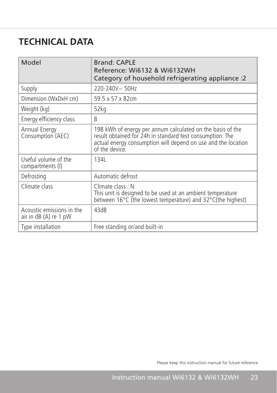## **TECHNICAL DATA**

| Model                                              | <b>Brand: CAPLE</b><br>Reference: Wi6132 & Wi6132WH<br>Category of household refrigerating appliance :2                                                                                                    |
|----------------------------------------------------|------------------------------------------------------------------------------------------------------------------------------------------------------------------------------------------------------------|
| Supply                                             | 220-240V~50Hz                                                                                                                                                                                              |
| Dimension (WxDxH cm)                               | 59.5 x 57 x 82cm                                                                                                                                                                                           |
| Weight (kg)                                        | 52kg                                                                                                                                                                                                       |
| Energy efficiency class                            | R                                                                                                                                                                                                          |
| Annual Energy<br>Consumption (AEC)                 | 198 kWh of energy per annum calculated on the basis of the<br>result obtained for 24h in standard test consumption. The<br>actual energy consumption will depend on use and the location<br>of the device. |
| Useful volume of the<br>compartments (I)           | 134L                                                                                                                                                                                                       |
| Defrosting                                         | Automatic defrost                                                                                                                                                                                          |
| Climate class                                      | Climate class: N<br>This unit is designed to be used at an ambient temperature<br>between 16 $\degree$ C (the lowest temperature) and 32 $\degree$ C(the highest)                                          |
| Acoustic emissions in the<br>air in dB (A) re 1 pW | 43dB                                                                                                                                                                                                       |
| Type installation                                  | Free standing or/and built-in                                                                                                                                                                              |